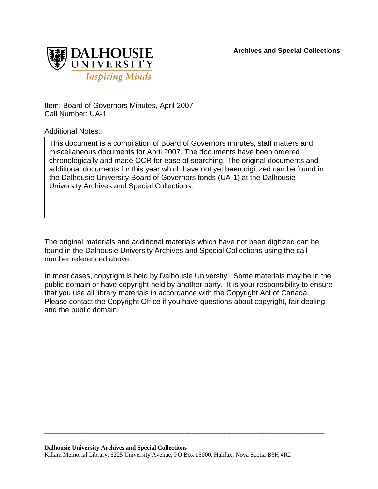**Archives and Special Collections**



Item: Board of Governors Minutes, April 2007 Call Number: UA-1

Additional Notes:

This document is a compilation of Board of Governors minutes, staff matters and miscellaneous documents for April 2007. The documents have been ordered chronologically and made OCR for ease of searching. The original documents and additional documents for this year which have not yet been digitized can be found in the Dalhousie University Board of Governors fonds (UA-1) at the Dalhousie University Archives and Special Collections.

The original materials and additional materials which have not been digitized can be found in the Dalhousie University Archives and Special Collections using the call number referenced above.

In most cases, copyright is held by Dalhousie University. Some materials may be in the public domain or have copyright held by another party. It is your responsibility to ensure that you use all library materials in accordance with the Copyright Act of Canada. Please contact the Copyright Office if you have questions about copyright, fair dealing, and the public domain.

\_\_\_\_\_\_\_\_\_\_\_\_\_\_\_\_\_\_\_\_\_\_\_\_\_\_\_\_\_\_\_\_\_\_\_\_\_\_\_\_\_\_\_\_\_\_\_\_\_\_\_\_\_\_\_\_\_\_\_\_\_\_\_\_\_\_\_\_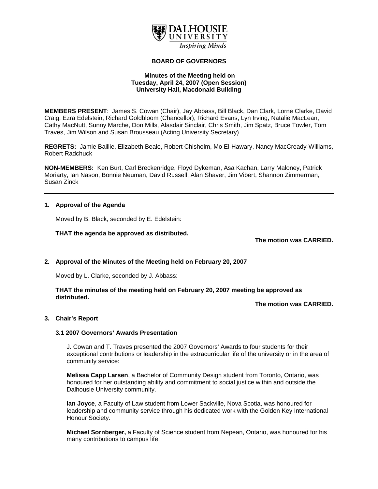

# **BOARD OF GOVERNORS**

## **Minutes of the Meeting held on Tuesday, April 24, 2007 (Open Session) University Hall, Macdonald Building**

**MEMBERS PRESENT**: James S. Cowan (Chair), Jay Abbass, Bill Black, Dan Clark, Lorne Clarke, David Craig, Ezra Edelstein, Richard Goldbloom (Chancellor), Richard Evans, Lyn Irving, Natalie MacLean, Cathy MacNutt, Sunny Marche, Don Mills, Alasdair Sinclair, Chris Smith, Jim Spatz, Bruce Towler, Tom Traves, Jim Wilson and Susan Brousseau (Acting University Secretary)

**REGRETS:** Jamie Baillie, Elizabeth Beale, Robert Chisholm, Mo El-Hawary, Nancy MacCready-Williams, Robert Radchuck

**NON-MEMBERS:** Ken Burt, Carl Breckenridge, Floyd Dykeman, Asa Kachan, Larry Maloney, Patrick Moriarty, Ian Nason, Bonnie Neuman, David Russell, Alan Shaver, Jim Vibert, Shannon Zimmerman, Susan Zinck

#### **1. Approval of the Agenda**

Moved by B. Black, seconded by E. Edelstein:

**THAT the agenda be approved as distributed.**

**The motion was CARRIED.** 

## **2. Approval of the Minutes of the Meeting held on February 20, 2007**

Moved by L. Clarke, seconded by J. Abbass:

**THAT the minutes of the meeting held on February 20, 2007 meeting be approved as distributed.** 

**The motion was CARRIED.** 

#### **3. Chair's Report**

#### **3.1 2007 Governors' Awards Presentation**

 J. Cowan and T. Traves presented the 2007 Governors' Awards to four students for their exceptional contributions or leadership in the extracurricular life of the university or in the area of community service:

**Melissa Capp Larsen**, a Bachelor of Community Design student from Toronto, Ontario, was honoured for her outstanding ability and commitment to social justice within and outside the Dalhousie University community.

**Ian Joyce**, a Faculty of Law student from Lower Sackville, Nova Scotia, was honoured for leadership and community service through his dedicated work with the Golden Key International Honour Society.

**Michael Sornberger,** a Faculty of Science student from Nepean, Ontario, was honoured for his many contributions to campus life.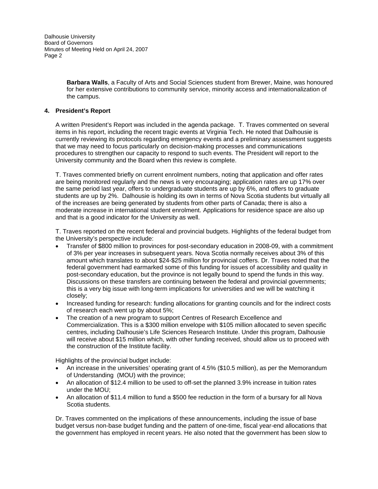> **Barbara Walls**, a Faculty of Arts and Social Sciences student from Brewer, Maine, was honoured for her extensive contributions to community service, minority access and internationalization of the campus.

## **4. President's Report**

A written President's Report was included in the agenda package. T. Traves commented on several items in his report, including the recent tragic events at Virginia Tech. He noted that Dalhousie is currently reviewing its protocols regarding emergency events and a preliminary assessment suggests that we may need to focus particularly on decision-making processes and communications procedures to strengthen our capacity to respond to such events. The President will report to the University community and the Board when this review is complete.

T. Traves commented briefly on current enrolment numbers, noting that application and offer rates are being monitored regularly and the news is very encouraging; application rates are up 17% over the same period last year, offers to undergraduate students are up by 6%, and offers to graduate students are up by 2%. Dalhousie is holding its own in terms of Nova Scotia students but virtually all of the increases are being generated by students from other parts of Canada; there is also a moderate increase in international student enrolment. Applications for residence space are also up and that is a good indicator for the University as well.

T. Traves reported on the recent federal and provincial budgets. Highlights of the federal budget from the University's perspective include:

- Transfer of \$800 million to provinces for post-secondary education in 2008-09, with a commitment of 3% per year increases in subsequent years. Nova Scotia normally receives about 3% of this amount which translates to about \$24-\$25 million for provincial coffers. Dr. Traves noted that the federal government had earmarked some of this funding for issues of accessibility and quality in post-secondary education, but the province is not legally bound to spend the funds in this way. Discussions on these transfers are continuing between the federal and provincial governments; this is a very big issue with long-term implications for universities and we will be watching it closely;
- Increased funding for research: funding allocations for granting councils and for the indirect costs of research each went up by about 5%;
- The creation of a new program to support Centres of Research Excellence and Commercialization. This is a \$300 million envelope with \$105 million allocated to seven specific centres, including Dalhousie's Life Sciences Research Institute. Under this program, Dalhousie will receive about \$15 million which, with other funding received, should allow us to proceed with the construction of the Institute facility.

Highlights of the provincial budget include:

- An increase in the universities' operating grant of 4.5% (\$10.5 million), as per the Memorandum of Understanding (MOU) with the province;
- An allocation of \$12.4 million to be used to off-set the planned 3.9% increase in tuition rates under the MOU;
- An allocation of \$11.4 million to fund a \$500 fee reduction in the form of a bursary for all Nova Scotia students.

Dr. Traves commented on the implications of these announcements, including the issue of base budget versus non-base budget funding and the pattern of one-time, fiscal year-end allocations that the government has employed in recent years. He also noted that the government has been slow to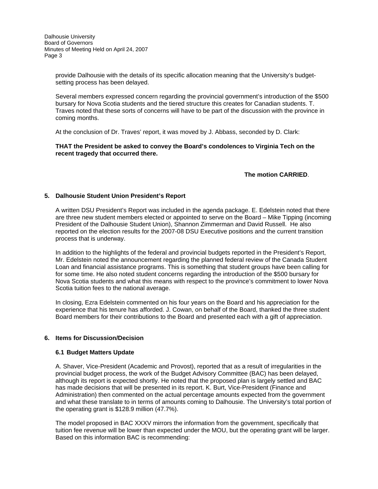> provide Dalhousie with the details of its specific allocation meaning that the University's budgetsetting process has been delayed.

Several members expressed concern regarding the provincial government's introduction of the \$500 bursary for Nova Scotia students and the tiered structure this creates for Canadian students. T. Traves noted that these sorts of concerns will have to be part of the discussion with the province in coming months.

At the conclusion of Dr. Traves' report, it was moved by J. Abbass, seconded by D. Clark:

**THAT the President be asked to convey the Board's condolences to Virginia Tech on the recent tragedy that occurred there.** 

 **The motion CARRIED**.

## **5. Dalhousie Student Union President's Report**

A written DSU President's Report was included in the agenda package. E. Edelstein noted that there are three new student members elected or appointed to serve on the Board – Mike Tipping (incoming President of the Dalhousie Student Union), Shannon Zimmerman and David Russell. He also reported on the election results for the 2007-08 DSU Executive positions and the current transition process that is underway.

In addition to the highlights of the federal and provincial budgets reported in the President's Report, Mr. Edelstein noted the announcement regarding the planned federal review of the Canada Student Loan and financial assistance programs. This is something that student groups have been calling for for some time. He also noted student concerns regarding the introduction of the \$500 bursary for Nova Scotia students and what this means with respect to the province's commitment to lower Nova Scotia tuition fees to the national average.

In closing, Ezra Edelstein commented on his four years on the Board and his appreciation for the experience that his tenure has afforded. J. Cowan, on behalf of the Board, thanked the three student Board members for their contributions to the Board and presented each with a gift of appreciation.

## **6. Items for Discussion/Decision**

## **6.1 Budget Matters Update**

A. Shaver, Vice-President (Academic and Provost), reported that as a result of irregularities in the provincial budget process, the work of the Budget Advisory Committee (BAC) has been delayed, although its report is expected shortly. He noted that the proposed plan is largely settled and BAC has made decisions that will be presented in its report. K. Burt, Vice-President (Finance and Administration) then commented on the actual percentage amounts expected from the government and what these translate to in terms of amounts coming to Dalhousie. The University's total portion of the operating grant is \$128.9 million (47.7%).

The model proposed in BAC XXXV mirrors the information from the government, specifically that tuition fee revenue will be lower than expected under the MOU, but the operating grant will be larger. Based on this information BAC is recommending: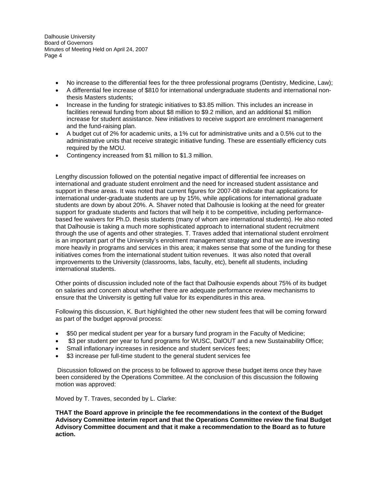- No increase to the differential fees for the three professional programs (Dentistry, Medicine, Law);
- A differential fee increase of \$810 for international undergraduate students and international nonthesis Masters students;
- Increase in the funding for strategic initiatives to \$3.85 million. This includes an increase in facilities renewal funding from about \$8 million to \$9.2 million, and an additional \$1 million increase for student assistance. New initiatives to receive support are enrolment management and the fund-raising plan.
- A budget cut of 2% for academic units, a 1% cut for administrative units and a 0.5% cut to the administrative units that receive strategic initiative funding. These are essentially efficiency cuts required by the MOU.
- Contingency increased from \$1 million to \$1.3 million.

Lengthy discussion followed on the potential negative impact of differential fee increases on international and graduate student enrolment and the need for increased student assistance and support in these areas. It was noted that current figures for 2007-08 indicate that applications for international under-graduate students are up by 15%, while applications for international graduate students are down by about 20%. A. Shaver noted that Dalhousie is looking at the need for greater support for graduate students and factors that will help it to be competitive, including performancebased fee waivers for Ph.D. thesis students (many of whom are international students). He also noted that Dalhousie is taking a much more sophisticated approach to international student recruitment through the use of agents and other strategies. T. Traves added that international student enrolment is an important part of the University's enrolment management strategy and that we are investing more heavily in programs and services in this area; it makes sense that some of the funding for these initiatives comes from the international student tuition revenues. It was also noted that overall improvements to the University (classrooms, labs, faculty, etc), benefit all students, including international students.

Other points of discussion included note of the fact that Dalhousie expends about 75% of its budget on salaries and concern about whether there are adequate performance review mechanisms to ensure that the University is getting full value for its expenditures in this area.

Following this discussion, K. Burt highlighted the other new student fees that will be coming forward as part of the budget approval process:

- \$50 per medical student per year for a bursary fund program in the Faculty of Medicine;
- \$3 per student per year to fund programs for WUSC, DalOUT and a new Sustainability Office;
- Small inflationary increases in residence and student services fees;
- \$3 increase per full-time student to the general student services fee

 Discussion followed on the process to be followed to approve these budget items once they have been considered by the Operations Committee. At the conclusion of this discussion the following motion was approved:

Moved by T. Traves, seconded by L. Clarke:

**THAT the Board approve in principle the fee recommendations in the context of the Budget Advisory Committee interim report and that the Operations Committee review the final Budget Advisory Committee document and that it make a recommendation to the Board as to future action.**